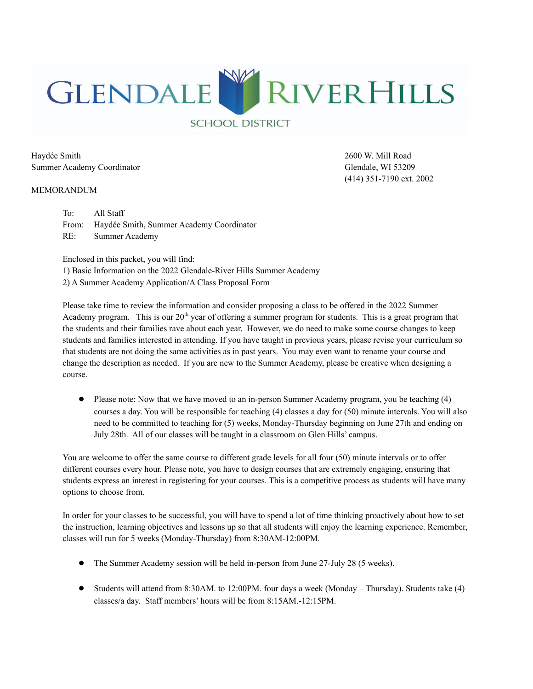

Haydée Smith 2600 W. Mill Road Summer Academy Coordinator Glendale, WI 53209

#### MEMORANDUM

(414) 351-7190 ext. 2002

To: All Staff From: Haydée Smith, Summer Academy Coordinator RE: Summer Academy

Enclosed in this packet, you will find:

1) Basic Information on the 2022 Glendale-River Hills Summer Academy

2) A Summer Academy Application/A Class Proposal Form

Please take time to review the information and consider proposing a class to be offered in the 2022 Summer Academy program. This is our  $20<sup>th</sup>$  year of offering a summer program for students. This is a great program that the students and their families rave about each year. However, we do need to make some course changes to keep students and families interested in attending. If you have taught in previous years, please revise your curriculum so that students are not doing the same activities as in past years. You may even want to rename your course and change the description as needed. If you are new to the Summer Academy, please be creative when designing a course.

● Please note: Now that we have moved to an in-person Summer Academy program, you be teaching (4) courses a day. You will be responsible for teaching (4) classes a day for (50) minute intervals. You will also need to be committed to teaching for (5) weeks, Monday-Thursday beginning on June 27th and ending on July 28th. All of our classes will be taught in a classroom on Glen Hills' campus.

You are welcome to offer the same course to different grade levels for all four (50) minute intervals or to offer different courses every hour. Please note, you have to design courses that are extremely engaging, ensuring that students express an interest in registering for your courses. This is a competitive process as students will have many options to choose from.

In order for your classes to be successful, you will have to spend a lot of time thinking proactively about how to set the instruction, learning objectives and lessons up so that all students will enjoy the learning experience. Remember, classes will run for 5 weeks (Monday-Thursday) from 8:30AM-12:00PM.

- The Summer Academy session will be held in-person from June 27-July 28 (5 weeks).
- Students will attend from 8:30AM. to 12:00PM. four days a week (Monday Thursday). Students take (4) classes/a day. Staff members' hours will be from 8:15AM.-12:15PM.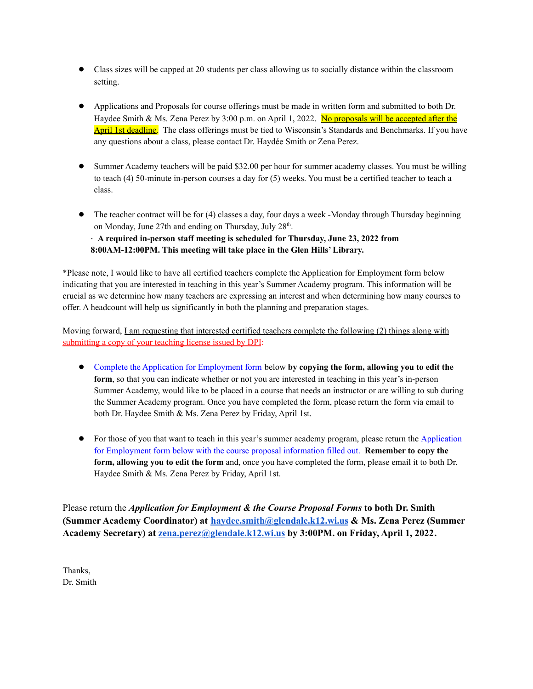- Class sizes will be capped at 20 students per class allowing us to socially distance within the classroom setting.
- Applications and Proposals for course offerings must be made in written form and submitted to both Dr. Haydee Smith & Ms. Zena Perez by 3:00 p.m. on April 1, 2022. No proposals will be accepted after the April 1st deadline. The class offerings must be tied to Wisconsin's Standards and Benchmarks. If you have any questions about a class, please contact Dr. Haydée Smith or Zena Perez.
- Summer Academy teachers will be paid \$32.00 per hour for summer academy classes. You must be willing to teach (4) 50-minute in-person courses a day for (5) weeks. You must be a certified teacher to teach a class.
- The teacher contract will be for (4) classes a day, four days a week -Monday through Thursday beginning on Monday, June 27th and ending on Thursday, July 28<sup>th</sup>.

· **A required in-person staff meeting is scheduled for Thursday, June 23, 2022 from 8:00AM-12:00PM. This meeting will take place in the Glen Hills' Library.**

\*Please note, I would like to have all certified teachers complete the Application for Employment form below indicating that you are interested in teaching in this year's Summer Academy program. This information will be crucial as we determine how many teachers are expressing an interest and when determining how many courses to offer. A headcount will help us significantly in both the planning and preparation stages.

Moving forward, <u>I am requesting that interested certified teachers complete the following (2) things along with</u> submitting a copy of your teaching license issued by DPI:

- Complete the Application for Employment form below **by copying the form, allowing you to edit the form**, so that you can indicate whether or not you are interested in teaching in this year's in-person Summer Academy, would like to be placed in a course that needs an instructor or are willing to sub during the Summer Academy program. Once you have completed the form, please return the form via email to both Dr. Haydee Smith & Ms. Zena Perez by Friday, April 1st.
- For those of you that want to teach in this year's summer academy program, please return the Application for Employment form below with the course proposal information filled out. **Remember to copy the form, allowing you to edit the form** and, once you have completed the form, please email it to both Dr. Haydee Smith & Ms. Zena Perez by Friday, April 1st.

Please return the *Application for Employment & the Course Proposal Forms* **to both Dr. Smith (Summer Academy Coordinator) at [haydee.smith@glendale.k12.wi.us](mailto:haydee.smith@glendale.k12.wi.us) & Ms. Zena Perez (Summer Academy Secretary) at [zena.perez@glendale.k12.wi.us](mailto:zena.perez@glendale.k12.wi.us) by 3:00PM. on Friday, April 1, 2022.**

Thanks, Dr. Smith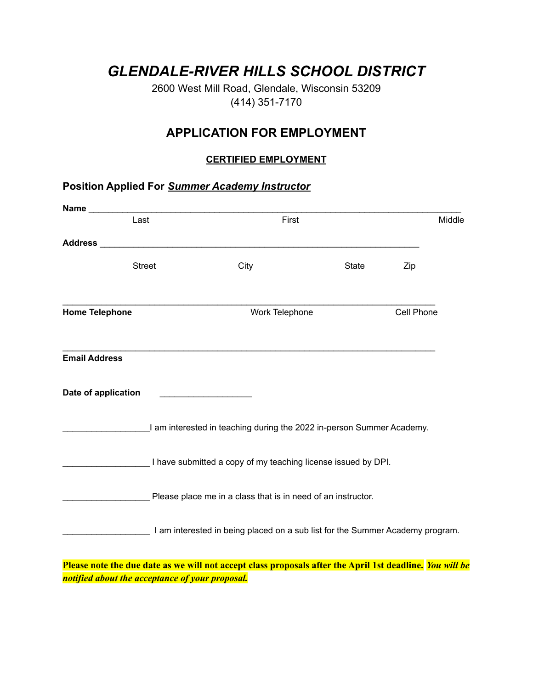## *GLENDALE-RIVER HILLS SCHOOL DISTRICT*

2600 West Mill Road, Glendale, Wisconsin 53209 (414) 351-7170

### **APPLICATION FOR EMPLOYMENT**

#### **CERTIFIED EMPLOYMENT**

# **Position Applied For** *Summer Academy Instructor*

| Name                  |               |                                                                                                          |       |            |  |
|-----------------------|---------------|----------------------------------------------------------------------------------------------------------|-------|------------|--|
|                       | Last          | First                                                                                                    |       |            |  |
| <b>Address</b>        |               |                                                                                                          |       |            |  |
|                       | <b>Street</b> | City                                                                                                     | State | Zip        |  |
| <b>Home Telephone</b> |               | Work Telephone                                                                                           |       | Cell Phone |  |
| <b>Email Address</b>  |               |                                                                                                          |       |            |  |
| Date of application   |               |                                                                                                          |       |            |  |
|                       |               | I am interested in teaching during the 2022 in-person Summer Academy.                                    |       |            |  |
|                       |               | I have submitted a copy of my teaching license issued by DPI.                                            |       |            |  |
|                       |               | Please place me in a class that is in need of an instructor.                                             |       |            |  |
|                       |               | I am interested in being placed on a sub list for the Summer Academy program.                            |       |            |  |
|                       |               | Please note the due date as we will not accept class proposals after the April 1st deadline. You will be |       |            |  |

*notified about the acceptance of your proposal.*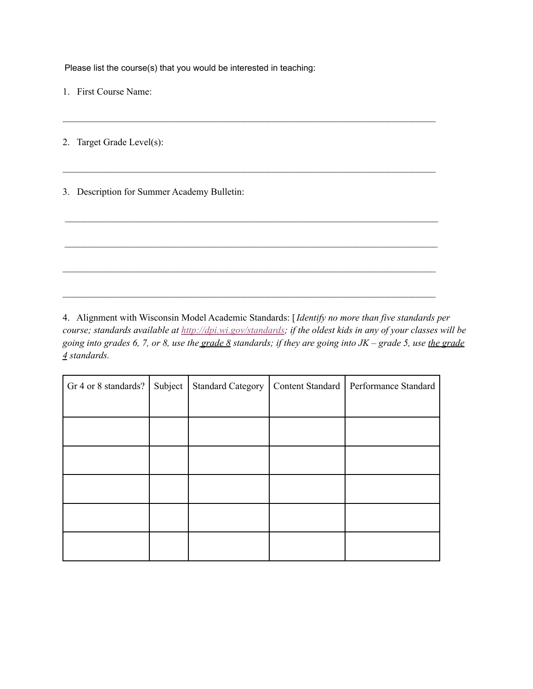Please list the course(s) that you would be interested in teaching:

1. First Course Name:

2. Target Grade Level(s):

3. Description for Summer Academy Bulletin:

4. Alignment with Wisconsin Model Academic Standards: [*Identify no more than five standards per* course; standards available at <http://dpi.wi.gov/standards>; if the oldest kids in any of your classes will be going into grades 6, 7, or 8, use the grade 8 standards; if they are going into  $JK$  – grade 5, use the grade *4 standards.*

 $\mathcal{L}_\mathcal{L} = \{ \mathcal{L}_\mathcal{L} = \{ \mathcal{L}_\mathcal{L} = \{ \mathcal{L}_\mathcal{L} = \{ \mathcal{L}_\mathcal{L} = \{ \mathcal{L}_\mathcal{L} = \{ \mathcal{L}_\mathcal{L} = \{ \mathcal{L}_\mathcal{L} = \{ \mathcal{L}_\mathcal{L} = \{ \mathcal{L}_\mathcal{L} = \{ \mathcal{L}_\mathcal{L} = \{ \mathcal{L}_\mathcal{L} = \{ \mathcal{L}_\mathcal{L} = \{ \mathcal{L}_\mathcal{L} = \{ \mathcal{L}_\mathcal{$ 

 $\mathcal{L}_\mathcal{L} = \mathcal{L}_\mathcal{L} = \mathcal{L}_\mathcal{L} = \mathcal{L}_\mathcal{L} = \mathcal{L}_\mathcal{L} = \mathcal{L}_\mathcal{L} = \mathcal{L}_\mathcal{L} = \mathcal{L}_\mathcal{L} = \mathcal{L}_\mathcal{L} = \mathcal{L}_\mathcal{L} = \mathcal{L}_\mathcal{L} = \mathcal{L}_\mathcal{L} = \mathcal{L}_\mathcal{L} = \mathcal{L}_\mathcal{L} = \mathcal{L}_\mathcal{L} = \mathcal{L}_\mathcal{L} = \mathcal{L}_\mathcal{L}$ 

 $\mathcal{L}_\mathcal{L} = \{ \mathcal{L}_\mathcal{L} = \{ \mathcal{L}_\mathcal{L} = \{ \mathcal{L}_\mathcal{L} = \{ \mathcal{L}_\mathcal{L} = \{ \mathcal{L}_\mathcal{L} = \{ \mathcal{L}_\mathcal{L} = \{ \mathcal{L}_\mathcal{L} = \{ \mathcal{L}_\mathcal{L} = \{ \mathcal{L}_\mathcal{L} = \{ \mathcal{L}_\mathcal{L} = \{ \mathcal{L}_\mathcal{L} = \{ \mathcal{L}_\mathcal{L} = \{ \mathcal{L}_\mathcal{L} = \{ \mathcal{L}_\mathcal{$ 

 $\mathcal{L}_\mathcal{L} = \{ \mathcal{L}_\mathcal{L} = \{ \mathcal{L}_\mathcal{L} = \{ \mathcal{L}_\mathcal{L} = \{ \mathcal{L}_\mathcal{L} = \{ \mathcal{L}_\mathcal{L} = \{ \mathcal{L}_\mathcal{L} = \{ \mathcal{L}_\mathcal{L} = \{ \mathcal{L}_\mathcal{L} = \{ \mathcal{L}_\mathcal{L} = \{ \mathcal{L}_\mathcal{L} = \{ \mathcal{L}_\mathcal{L} = \{ \mathcal{L}_\mathcal{L} = \{ \mathcal{L}_\mathcal{L} = \{ \mathcal{L}_\mathcal{$ 

| Gr 4 or 8 standards? | Subject | <b>Standard Category</b> | Content Standard   Performance Standard |
|----------------------|---------|--------------------------|-----------------------------------------|
|                      |         |                          |                                         |
|                      |         |                          |                                         |
|                      |         |                          |                                         |
|                      |         |                          |                                         |
|                      |         |                          |                                         |
|                      |         |                          |                                         |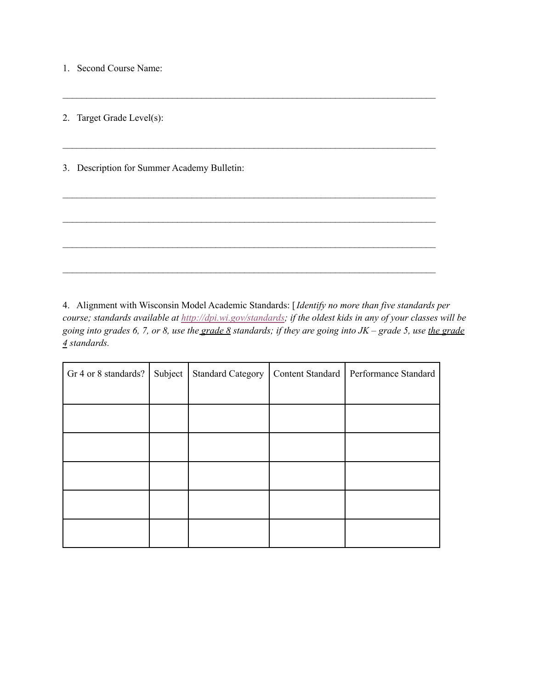1. Second Course Name:

2. Target Grade Level(s):

3. Description for Summer Academy Bulletin:

4. Alignment with Wisconsin Model Academic Standards: [*Identify no more than five standards per* course; standards available at <http://dpi.wi.gov/standards>; if the oldest kids in any of your classes will be going into grades 6, 7, or 8, use the grade 8 standards; if they are going into  $JK$  – grade 5, use the grade *4 standards.*

 $\mathcal{L}_\mathcal{L} = \{ \mathcal{L}_\mathcal{L} = \{ \mathcal{L}_\mathcal{L} = \{ \mathcal{L}_\mathcal{L} = \{ \mathcal{L}_\mathcal{L} = \{ \mathcal{L}_\mathcal{L} = \{ \mathcal{L}_\mathcal{L} = \{ \mathcal{L}_\mathcal{L} = \{ \mathcal{L}_\mathcal{L} = \{ \mathcal{L}_\mathcal{L} = \{ \mathcal{L}_\mathcal{L} = \{ \mathcal{L}_\mathcal{L} = \{ \mathcal{L}_\mathcal{L} = \{ \mathcal{L}_\mathcal{L} = \{ \mathcal{L}_\mathcal{$ 

 $\mathcal{L}_\mathcal{L} = \mathcal{L}_\mathcal{L} = \mathcal{L}_\mathcal{L} = \mathcal{L}_\mathcal{L} = \mathcal{L}_\mathcal{L} = \mathcal{L}_\mathcal{L} = \mathcal{L}_\mathcal{L} = \mathcal{L}_\mathcal{L} = \mathcal{L}_\mathcal{L} = \mathcal{L}_\mathcal{L} = \mathcal{L}_\mathcal{L} = \mathcal{L}_\mathcal{L} = \mathcal{L}_\mathcal{L} = \mathcal{L}_\mathcal{L} = \mathcal{L}_\mathcal{L} = \mathcal{L}_\mathcal{L} = \mathcal{L}_\mathcal{L}$ 

 $\mathcal{L}_\mathcal{L} = \{ \mathcal{L}_\mathcal{L} = \{ \mathcal{L}_\mathcal{L} = \{ \mathcal{L}_\mathcal{L} = \{ \mathcal{L}_\mathcal{L} = \{ \mathcal{L}_\mathcal{L} = \{ \mathcal{L}_\mathcal{L} = \{ \mathcal{L}_\mathcal{L} = \{ \mathcal{L}_\mathcal{L} = \{ \mathcal{L}_\mathcal{L} = \{ \mathcal{L}_\mathcal{L} = \{ \mathcal{L}_\mathcal{L} = \{ \mathcal{L}_\mathcal{L} = \{ \mathcal{L}_\mathcal{L} = \{ \mathcal{L}_\mathcal{$ 

 $\mathcal{L}_\mathcal{L} = \mathcal{L}_\mathcal{L} = \mathcal{L}_\mathcal{L} = \mathcal{L}_\mathcal{L} = \mathcal{L}_\mathcal{L} = \mathcal{L}_\mathcal{L} = \mathcal{L}_\mathcal{L} = \mathcal{L}_\mathcal{L} = \mathcal{L}_\mathcal{L} = \mathcal{L}_\mathcal{L} = \mathcal{L}_\mathcal{L} = \mathcal{L}_\mathcal{L} = \mathcal{L}_\mathcal{L} = \mathcal{L}_\mathcal{L} = \mathcal{L}_\mathcal{L} = \mathcal{L}_\mathcal{L} = \mathcal{L}_\mathcal{L}$ 

 $\mathcal{L}_\mathcal{L} = \{ \mathcal{L}_\mathcal{L} = \{ \mathcal{L}_\mathcal{L} = \{ \mathcal{L}_\mathcal{L} = \{ \mathcal{L}_\mathcal{L} = \{ \mathcal{L}_\mathcal{L} = \{ \mathcal{L}_\mathcal{L} = \{ \mathcal{L}_\mathcal{L} = \{ \mathcal{L}_\mathcal{L} = \{ \mathcal{L}_\mathcal{L} = \{ \mathcal{L}_\mathcal{L} = \{ \mathcal{L}_\mathcal{L} = \{ \mathcal{L}_\mathcal{L} = \{ \mathcal{L}_\mathcal{L} = \{ \mathcal{L}_\mathcal{$ 

| Gr 4 or 8 standards? | Subject | <b>Standard Category</b> | Content Standard   Performance Standard |
|----------------------|---------|--------------------------|-----------------------------------------|
|                      |         |                          |                                         |
|                      |         |                          |                                         |
|                      |         |                          |                                         |
|                      |         |                          |                                         |
|                      |         |                          |                                         |
|                      |         |                          |                                         |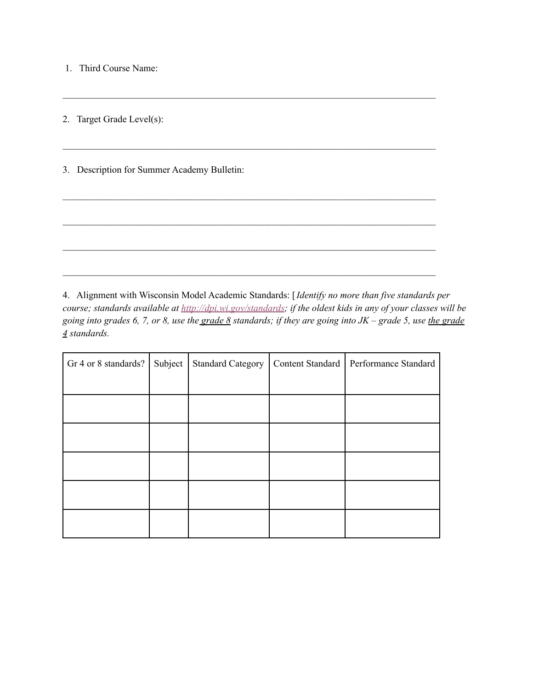1. Third Course Name:

2. Target Grade Level(s):

3. Description for Summer Academy Bulletin:

4. Alignment with Wisconsin Model Academic Standards: [*Identify no more than five standards per* course; standards available at <http://dpi.wi.gov/standards>; if the oldest kids in any of your classes will be going into grades 6, 7, or 8, use the grade  $8$  standards; if they are going into  $JK$  – grade 5, use the grade *4 standards.*

 $\mathcal{L}_\mathcal{L} = \{ \mathcal{L}_\mathcal{L} = \{ \mathcal{L}_\mathcal{L} = \{ \mathcal{L}_\mathcal{L} = \{ \mathcal{L}_\mathcal{L} = \{ \mathcal{L}_\mathcal{L} = \{ \mathcal{L}_\mathcal{L} = \{ \mathcal{L}_\mathcal{L} = \{ \mathcal{L}_\mathcal{L} = \{ \mathcal{L}_\mathcal{L} = \{ \mathcal{L}_\mathcal{L} = \{ \mathcal{L}_\mathcal{L} = \{ \mathcal{L}_\mathcal{L} = \{ \mathcal{L}_\mathcal{L} = \{ \mathcal{L}_\mathcal{$ 

 $\mathcal{L}_\mathcal{L} = \{ \mathcal{L}_\mathcal{L} = \{ \mathcal{L}_\mathcal{L} = \{ \mathcal{L}_\mathcal{L} = \{ \mathcal{L}_\mathcal{L} = \{ \mathcal{L}_\mathcal{L} = \{ \mathcal{L}_\mathcal{L} = \{ \mathcal{L}_\mathcal{L} = \{ \mathcal{L}_\mathcal{L} = \{ \mathcal{L}_\mathcal{L} = \{ \mathcal{L}_\mathcal{L} = \{ \mathcal{L}_\mathcal{L} = \{ \mathcal{L}_\mathcal{L} = \{ \mathcal{L}_\mathcal{L} = \{ \mathcal{L}_\mathcal{$ 

 $\mathcal{L}_\mathcal{L} = \mathcal{L}_\mathcal{L} = \mathcal{L}_\mathcal{L} = \mathcal{L}_\mathcal{L} = \mathcal{L}_\mathcal{L} = \mathcal{L}_\mathcal{L} = \mathcal{L}_\mathcal{L} = \mathcal{L}_\mathcal{L} = \mathcal{L}_\mathcal{L} = \mathcal{L}_\mathcal{L} = \mathcal{L}_\mathcal{L} = \mathcal{L}_\mathcal{L} = \mathcal{L}_\mathcal{L} = \mathcal{L}_\mathcal{L} = \mathcal{L}_\mathcal{L} = \mathcal{L}_\mathcal{L} = \mathcal{L}_\mathcal{L}$ 

 $\mathcal{L}_\mathcal{L} = \{ \mathcal{L}_\mathcal{L} = \{ \mathcal{L}_\mathcal{L} = \{ \mathcal{L}_\mathcal{L} = \{ \mathcal{L}_\mathcal{L} = \{ \mathcal{L}_\mathcal{L} = \{ \mathcal{L}_\mathcal{L} = \{ \mathcal{L}_\mathcal{L} = \{ \mathcal{L}_\mathcal{L} = \{ \mathcal{L}_\mathcal{L} = \{ \mathcal{L}_\mathcal{L} = \{ \mathcal{L}_\mathcal{L} = \{ \mathcal{L}_\mathcal{L} = \{ \mathcal{L}_\mathcal{L} = \{ \mathcal{L}_\mathcal{$ 

 $\mathcal{L}_\mathcal{L} = \mathcal{L}_\mathcal{L} = \mathcal{L}_\mathcal{L} = \mathcal{L}_\mathcal{L} = \mathcal{L}_\mathcal{L} = \mathcal{L}_\mathcal{L} = \mathcal{L}_\mathcal{L} = \mathcal{L}_\mathcal{L} = \mathcal{L}_\mathcal{L} = \mathcal{L}_\mathcal{L} = \mathcal{L}_\mathcal{L} = \mathcal{L}_\mathcal{L} = \mathcal{L}_\mathcal{L} = \mathcal{L}_\mathcal{L} = \mathcal{L}_\mathcal{L} = \mathcal{L}_\mathcal{L} = \mathcal{L}_\mathcal{L}$ 

| Gr 4 or 8 standards? | Subject | <b>Standard Category</b> | Content Standard | Performance Standard |
|----------------------|---------|--------------------------|------------------|----------------------|
|                      |         |                          |                  |                      |
|                      |         |                          |                  |                      |
|                      |         |                          |                  |                      |
|                      |         |                          |                  |                      |
|                      |         |                          |                  |                      |
|                      |         |                          |                  |                      |